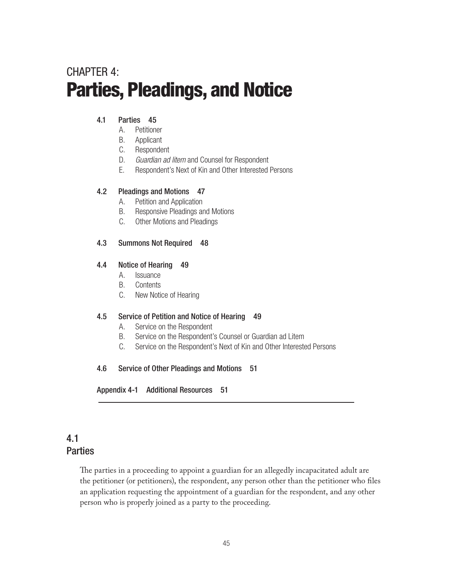# CHAPTFR 4: Parties, Pleadings, and Notice

### 4.1 Parties 45

- A. Petitioner
- B. Applicant
- C. Respondent
- D. *Guardian ad litem* and Counsel for Respondent
- E. Respondent's Next of Kin and Other Interested Persons

### 4.2 Pleadings and Motions 47

- A. Petition and Application
- B. Responsive Pleadings and Motions
- C. Other Motions and Pleadings

### 4.3 Summons Not Required 48

### 4.4 Notice of Hearing 49

- A. Issuance
- B. Contents
- C. New Notice of Hearing

### 4.5 Service of Petition and Notice of Hearing 49

- A. Service on the Respondent
- B. Service on the Respondent's Counsel or Guardian ad Litem
- C. Service on the Respondent's Next of Kin and Other Interested Persons

### 4.6 Service of Other Pleadings and Motions 51

Appendix 4-1 Additional Resources 51

# 4.1 **Parties**

The parties in a proceeding to appoint a guardian for an allegedly incapacitated adult are the petitioner (or petitioners), the respondent, any person other than the petitioner who files an application requesting the appointment of a guardian for the respondent, and any other person who is properly joined as a party to the proceeding.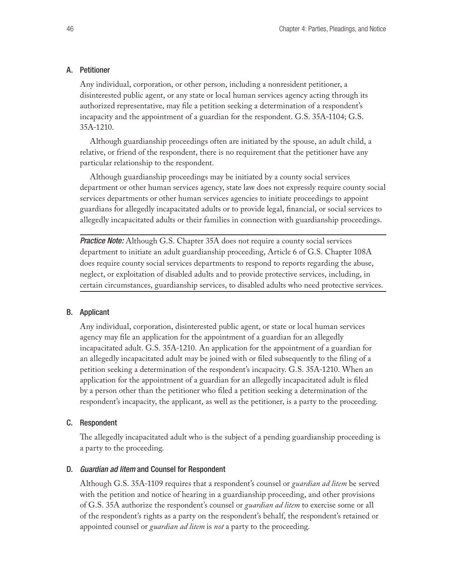#### A. Petitioner

Any individual, corporation, or other person, including a nonresident petitioner, a disinterested public agent, or any state or local human services agency acting through its authorized representative, may file a petition seeking a determination of a respondent's incapacity and the appointment of a guardian for the respondent. G.S. 35A-1104; G.S. 35A-1210.

Although guardianship proceedings often are initiated by the spouse, an adult child, a relative, or friend of the respondent, there is no requirement that the petitioner have any particular relationship to the respondent.

Although guardianship proceedings may be initiated by a county social services department or other human services agency, state law does not expressly require county social services departments or other human services agencies to initiate proceedings to appoint guardians for allegedly incapacitated adults or to provide legal, financial, or social services to allegedly incapacitated adults or their families in connection with guardianship proceedings.

*Practice Note:* Although G.S. Chapter 35A does not require a county social services department to initiate an adult guardianship proceeding, Article 6 of G.S. Chapter 108A does require county social services departments to respond to reports regarding the abuse, neglect, or exploitation of disabled adults and to provide protective services, including, in certain circumstances, guardianship services, to disabled adults who need protective services.

#### B. Applicant

Any individual, corporation, disinterested public agent, or state or local human services agency may file an application for the appointment of a guardian for an allegedly incapacitated adult. G.S. 35A-1210. An application for the appointment of a guardian for an allegedly incapacitated adult may be joined with or filed subsequently to the filing of a petition seeking a determination of the respondent's incapacity. G.S. 35A-1210. When an application for the appointment of a guardian for an allegedly incapacitated adult is filed by a person other than the petitioner who filed a petition seeking a determination of the respondent's incapacity, the applicant, as well as the petitioner, is a party to the proceeding.

#### C. Respondent

The allegedly incapacitated adult who is the subject of a pending guardianship proceeding is a party to the proceeding.

#### D. *Guardian ad litem* and Counsel for Respondent

Although G.S. 35A-1109 requires that a respondent's counsel or *guardian ad litem* be served with the petition and notice of hearing in a guardianship proceeding, and other provisions of G.S. 35A authorize the respondent's counsel or *guardian ad litem* to exercise some or all of the respondent's rights as a party on the respondent's behalf, the respondent's retained or appointed counsel or *guardian ad litem* is *not* a party to the proceeding.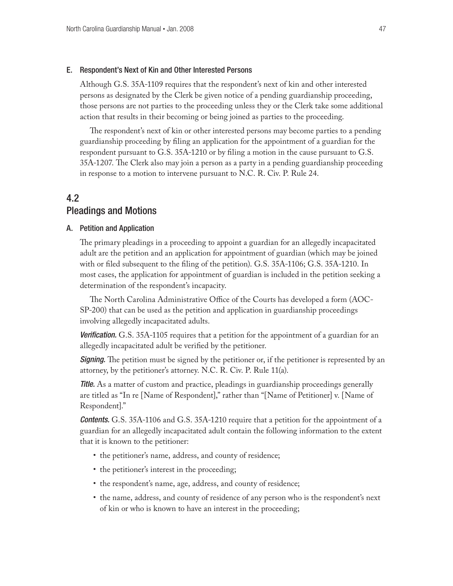#### E. Respondent's Next of Kin and Other Interested Persons

Although G.S. 35A-1109 requires that the respondent's next of kin and other interested persons as designated by the Clerk be given notice of a pending guardianship proceeding, those persons are not parties to the proceeding unless they or the Clerk take some additional action that results in their becoming or being joined as parties to the proceeding.

The respondent's next of kin or other interested persons may become parties to a pending guardianship proceeding by filing an application for the appointment of a guardian for the respondent pursuant to G.S. 35A-1210 or by filing a motion in the cause pursuant to G.S. 35A-1207. The Clerk also may join a person as a party in a pending guardianship proceeding in response to a motion to intervene pursuant to N.C. R. Civ. P. Rule 24.

# 4.2 Pleadings and Motions

#### A. Petition and Application

The primary pleadings in a proceeding to appoint a guardian for an allegedly incapacitated adult are the petition and an application for appointment of guardian (which may be joined with or filed subsequent to the filing of the petition). G.S. 35A-1106; G.S. 35A-1210. In most cases, the application for appointment of guardian is included in the petition seeking a determination of the respondent's incapacity.

The North Carolina Administrative Office of the Courts has developed a form (AOC-SP-200) that can be used as the petition and application in guardianship proceedings involving allegedly incapacitated adults.

**Verification.** G.S. 35A-1105 requires that a petition for the appointment of a guardian for an allegedly incapacitated adult be verified by the petitioner.

**Signing.** The petition must be signed by the petitioner or, if the petitioner is represented by an attorney, by the petitioner's attorney. N.C. R. Civ. P. Rule 11(a).

**Title.** As a matter of custom and practice, pleadings in guardianship proceedings generally are titled as "In re [Name of Respondent]," rather than "[Name of Petitioner] v. [Name of Respondent]."

*Contents.* G.S. 35A-1106 and G.S. 35A-1210 require that a petition for the appointment of a guardian for an allegedly incapacitated adult contain the following information to the extent that it is known to the petitioner:

- the petitioner's name, address, and county of residence;
- the petitioner's interest in the proceeding;
- the respondent's name, age, address, and county of residence;
- the name, address, and county of residence of any person who is the respondent's next of kin or who is known to have an interest in the proceeding;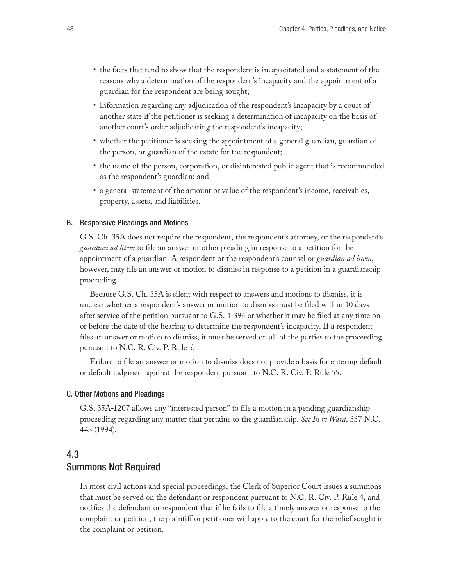- the facts that tend to show that the respondent is incapacitated and a statement of the reasons why a determination of the respondent's incapacity and the appointment of a guardian for the respondent are being sought;
- information regarding any adjudication of the respondent's incapacity by a court of another state if the petitioner is seeking a determination of incapacity on the basis of another court's order adjudicating the respondent's incapacity;
- whether the petitioner is seeking the appointment of a general guardian, guardian of the person, or guardian of the estate for the respondent;
- the name of the person, corporation, or disinterested public agent that is recommended as the respondent's guardian; and
- • a general statement of the amount or value of the respondent's income, receivables, property, assets, and liabilities.

#### B. Responsive Pleadings and Motions

G.S. Ch. 35A does not require the respondent, the respondent's attorney, or the respondent's *guardian ad litem* to file an answer or other pleading in response to a petition for the appointment of a guardian. A respondent or the respondent's counsel or *guardian ad litem*, however, may file an answer or motion to dismiss in response to a petition in a guardianship proceeding.

Because G.S. Ch. 35A is silent with respect to answers and motions to dismiss, it is unclear whether a respondent's answer or motion to dismiss must be filed within 10 days after service of the petition pursuant to G.S. 1-394 or whether it may be filed at any time on or before the date of the hearing to determine the respondent's incapacity. If a respondent files an answer or motion to dismiss, it must be served on all of the parties to the proceeding pursuant to N.C. R. Civ. P. Rule 5.

Failure to file an answer or motion to dismiss does not provide a basis for entering default or default judgment against the respondent pursuant to N.C. R. Civ. P. Rule 55.

#### C. Other Motions and Pleadings

G.S. 35A-1207 allows any "interested person" to file a motion in a pending guardianship proceeding regarding any matter that pertains to the guardianship. *See In re Ward*, 337 N.C. 443 (1994).

# 4.3 Summons Not Required

In most civil actions and special proceedings, the Clerk of Superior Court issues a summons that must be served on the defendant or respondent pursuant to N.C. R. Civ. P. Rule 4, and notifies the defendant or respondent that if he fails to file a timely answer or response to the complaint or petition, the plaintiff or petitioner will apply to the court for the relief sought in the complaint or petition.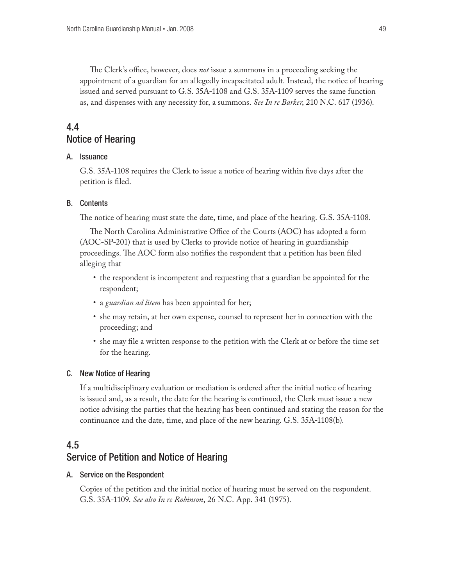The Clerk's office, however, does *not* issue a summons in a proceeding seeking the appointment of a guardian for an allegedly incapacitated adult. Instead, the notice of hearing issued and served pursuant to G.S. 35A-1108 and G.S. 35A-1109 serves the same function as, and dispenses with any necessity for, a summons. *See In re Barker*, 210 N.C. 617 (1936).

# 4.4 Notice of Hearing

#### A. Issuance

G.S. 35A-1108 requires the Clerk to issue a notice of hearing within five days after the petition is filed.

#### B. Contents

The notice of hearing must state the date, time, and place of the hearing. G.S. 35A-1108.

The North Carolina Administrative Office of the Courts (AOC) has adopted a form (AOC-SP-201) that is used by Clerks to provide notice of hearing in guardianship proceedings. The AOC form also notifies the respondent that a petition has been filed alleging that

- the respondent is incompetent and requesting that a guardian be appointed for the respondent;
- a *guardian ad litem* has been appointed for her;
- • she may retain, at her own expense, counsel to represent her in connection with the proceeding; and
- • she may file a written response to the petition with the Clerk at or before the time set for the hearing.

#### C. New Notice of Hearing

If a multidisciplinary evaluation or mediation is ordered after the initial notice of hearing is issued and, as a result, the date for the hearing is continued, the Clerk must issue a new notice advising the parties that the hearing has been continued and stating the reason for the continuance and the date, time, and place of the new hearing. G.S. 35A-1108(b).

## 4.5

### Service of Petition and Notice of Hearing

#### A. Service on the Respondent

Copies of the petition and the initial notice of hearing must be served on the respondent. G.S. 35A-1109. *See also In re Robinson*, 26 N.C. App. 341 (1975).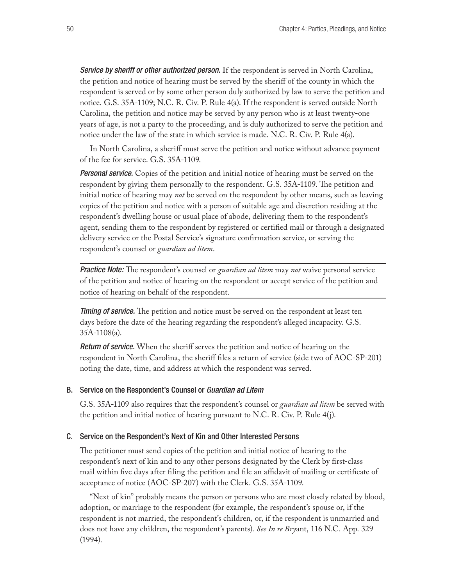*Service by sheriff or other authorized person.* If the respondent is served in North Carolina, the petition and notice of hearing must be served by the sheriff of the county in which the respondent is served or by some other person duly authorized by law to serve the petition and notice. G.S. 35A-1109; N.C. R. Civ. P. Rule 4(a). If the respondent is served outside North Carolina, the petition and notice may be served by any person who is at least twenty-one years of age, is not a party to the proceeding, and is duly authorized to serve the petition and notice under the law of the state in which service is made. N.C. R. Civ. P. Rule 4(a).

In North Carolina, a sheriff must serve the petition and notice without advance payment of the fee for service. G.S. 35A-1109.

*Personal service.* Copies of the petition and initial notice of hearing must be served on the respondent by giving them personally to the respondent. G.S. 35A-1109. The petition and initial notice of hearing may *not* be served on the respondent by other means, such as leaving copies of the petition and notice with a person of suitable age and discretion residing at the respondent's dwelling house or usual place of abode, delivering them to the respondent's agent, sending them to the respondent by registered or certified mail or through a designated delivery service or the Postal Service's signature confirmation service, or serving the respondent's counsel or *guardian ad litem*.

*Practice Note:* The respondent's counsel or *guardian ad litem* may *not* waive personal service of the petition and notice of hearing on the respondent or accept service of the petition and notice of hearing on behalf of the respondent.

*Timing of service.* The petition and notice must be served on the respondent at least ten days before the date of the hearing regarding the respondent's alleged incapacity. G.S. 35A-1108(a).

*Return of service.* When the sheriff serves the petition and notice of hearing on the respondent in North Carolina, the sheriff files a return of service (side two of AOC-SP-201) noting the date, time, and address at which the respondent was served.

#### B. Service on the Respondent's Counsel or *Guardian ad Litem*

G.S. 35A-1109 also requires that the respondent's counsel or *guardian ad litem* be served with the petition and initial notice of hearing pursuant to N.C. R. Civ. P. Rule 4(j).

#### C. Service on the Respondent's Next of Kin and Other Interested Persons

The petitioner must send copies of the petition and initial notice of hearing to the respondent's next of kin and to any other persons designated by the Clerk by first-class mail within five days after filing the petition and file an affidavit of mailing or certificate of acceptance of notice (AOC-SP-207) with the Clerk. G.S. 35A-1109.

"Next of kin" probably means the person or persons who are most closely related by blood, adoption, or marriage to the respondent (for example, the respondent's spouse or, if the respondent is not married, the respondent's children, or, if the respondent is unmarried and does not have any children, the respondent's parents). *See In re Bry*ant, 116 N.C. App. 329 (1994).